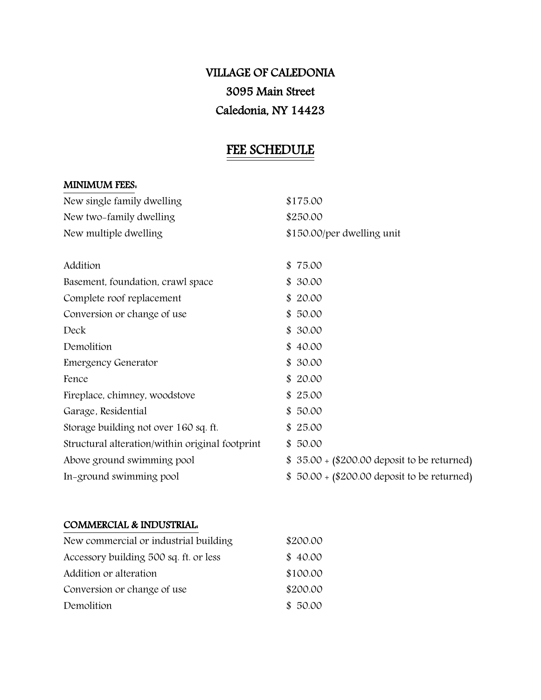# VILLAGE OF CALEDONIA 3095 Main Street Caledonia, NY 14423

## FEE SCHEDULE

## MINIMUM FEES:

| New single family dwelling                      | \$175.00                                     |
|-------------------------------------------------|----------------------------------------------|
| New two-family dwelling                         | \$250.00                                     |
| New multiple dwelling                           | \$150.00/per dwelling unit                   |
|                                                 |                                              |
| Addition                                        | \$75.00                                      |
| Basement, foundation, crawl space               | \$30.00                                      |
| Complete roof replacement                       | \$20.00                                      |
| Conversion or change of use                     | \$50.00                                      |
| Deck                                            | \$30.00                                      |
| Demolition                                      | \$40.00                                      |
| <b>Emergency Generator</b>                      | \$30.00                                      |
| Fence                                           | \$20.00                                      |
| Fireplace, chimney, woodstove                   | \$25.00                                      |
| Garage, Residential                             | \$50.00                                      |
| Storage building not over 160 sq. ft.           | \$25.00                                      |
| Structural alteration/within original footprint | \$50.00                                      |
| Above ground swimming pool                      | \$ 35.00 + (\$200.00 deposit to be returned) |
| In-ground swimming pool                         | \$ 50.00 + (\$200.00 deposit to be returned) |

### COMMERCIAL & INDUSTRIAL:

| New commercial or industrial building  | \$200.00 |  |  |
|----------------------------------------|----------|--|--|
| Accessory building 500 sq. ft. or less | \$40.00  |  |  |
| Addition or alteration                 | \$100.00 |  |  |
| Conversion or change of use            | \$200.00 |  |  |
| Demolition                             | \$50.00  |  |  |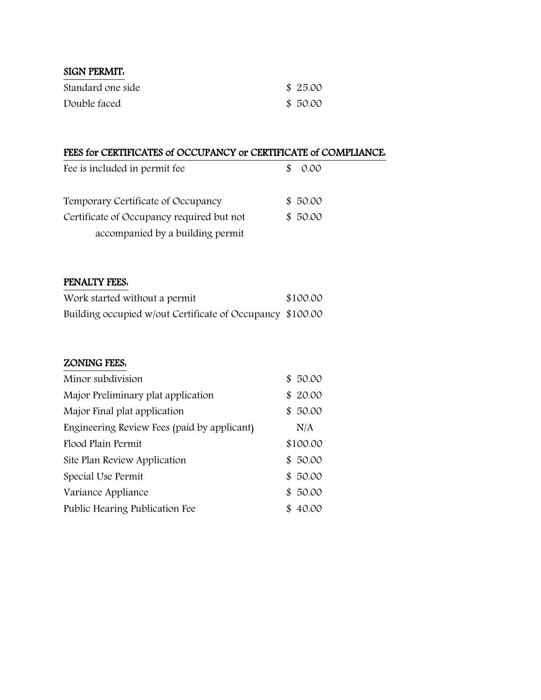| <b>SIGN PERMIT.</b> |         |
|---------------------|---------|
| Standard one side   | \$25.00 |
| Double faced        | \$50.00 |

## FEES for CERTIFICATES of OCCUPANCY or CERTIFICATE of COMPLIANCE:

| Fee is included in permit fee             | 0.00    |
|-------------------------------------------|---------|
| Temporary Certificate of Occupancy        | \$50.00 |
| Certificate of Occupancy required but not | \$50.00 |
| accompanied by a building permit          |         |

## PENALTY FEES:

| Work started without a permit                             | \$100.00 |
|-----------------------------------------------------------|----------|
| Building occupied w/out Certificate of Occupancy \$100.00 |          |

## ZONING FEES:

| Minor subdivision                           | 50.00<br>\$. |
|---------------------------------------------|--------------|
| Major Preliminary plat application          | 20.00<br>\$  |
| Major Final plat application                | 50.00<br>\$. |
| Engineering Review Fees (paid by applicant) | N/A          |
| Flood Plain Permit                          | \$100.00     |
| Site Plan Review Application                | 50.00<br>\$. |
| Special Use Permit                          | 50.00<br>\$. |
| Variance Appliance                          | 50.00<br>\$  |
| Public Hearing Publication Fee              | 40.00        |